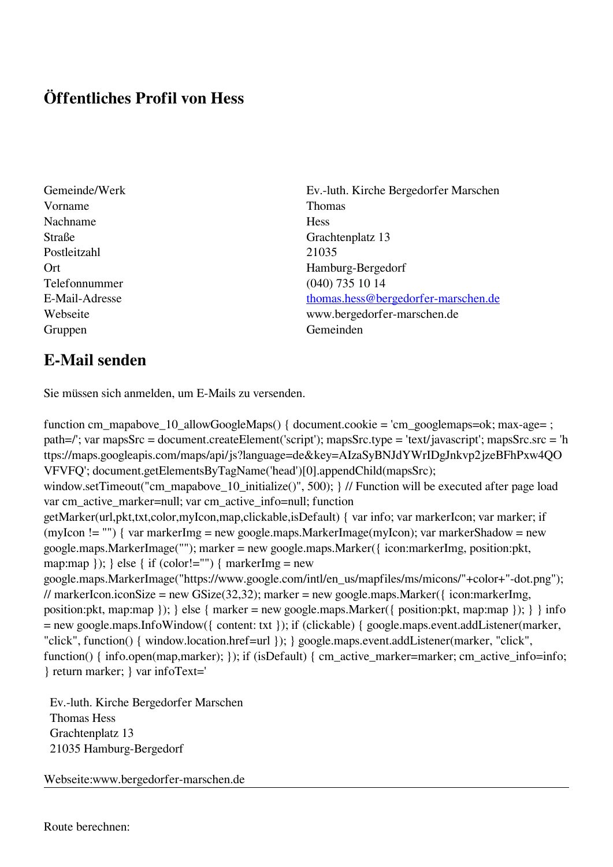## **Öffentliches Profil von Hess**

- Vorname Thomas Nachname Hess Straße Grachtenplatz 13 Postleitzahl 21035 Telefonnummer (040) 735 10 14 Gruppen Gemeinden Gemeinden Gemeinden Gemeinden Gemeinden Gemeinden Gemeinden Gemeinden Gemeinden Gemeinden G
- Gemeinde/Werk Ev.-luth. Kirche Bergedorfer Marschen Ort Hamburg-Bergedorf E-Mail-Adresse [thomas.hess@bergedorfer-marschen.de](mailto:thomas.hess@bergedorfer-marschen.de) Webseite www.bergedorfer-marschen.de

## **E-Mail senden**

Sie müssen sich anmelden, um E-Mails zu versenden.

function cm\_mapabove\_10\_allowGoogleMaps() { document.cookie = 'cm\_googlemaps=ok; max-age= ; path=/'; var mapsSrc = document.createElement('script'); mapsSrc.type = 'text/javascript'; mapsSrc.src = 'h ttps://maps.googleapis.com/maps/api/js?language=de&key=AIzaSyBNJdYWrIDgJnkvp2jzeBFhPxw4QO VFVFQ'; document.getElementsByTagName('head')[0].appendChild(mapsSrc); window.setTimeout("cm\_mapabove\_10\_initialize()", 500); } // Function will be executed after page load var cm\_active\_marker=null; var cm\_active\_info=null; function getMarker(url,pkt,txt,color,myIcon,map,clickable,isDefault) { var info; var markerIcon; var marker; if (myIcon != "") { var markerImg = new google.maps.MarkerImage(myIcon); var markerShadow = new google.maps.MarkerImage(""); marker = new google.maps.Marker({ icon:markerImg, position:pkt, map:map  $\}$ ;  $\}$  else  $\{$  if (color!="")  $\{$  markerImg = new google.maps.MarkerImage("https://www.google.com/intl/en\_us/mapfiles/ms/micons/"+color+"-dot.png"); // markerIcon.iconSize = new GSize(32,32); marker = new google.maps.Marker({ $i$ con:markerImg, position:pkt, map:map }); } else { marker = new google.maps.Marker({ position:pkt, map:map }); } } info = new google.maps.InfoWindow({ content: txt }); if (clickable) { google.maps.event.addListener(marker, "click", function() { window.location.href=url }); } google.maps.event.addListener(marker, "click", function() { info.open(map,marker); }); if (isDefault) { cm\_active\_marker=marker; cm\_active\_info=info; } return marker; } var infoText='

 Ev.-luth. Kirche Bergedorfer Marschen Thomas Hess Grachtenplatz 13 21035 Hamburg-Bergedorf

Webseite:www.bergedorfer-marschen.de